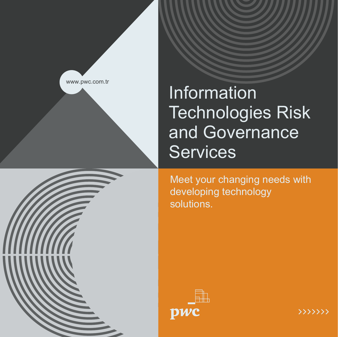

# Information **Technologies Risk** and Governance **Services**

Meet your changing needs with developing technology solutions.

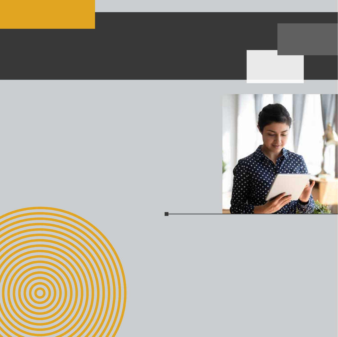

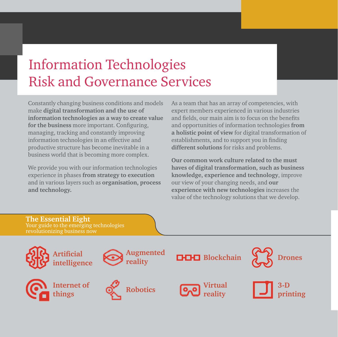## Information Technologies Risk and Governance Services

Constantly changing business conditions and models make **digital transformation and the use of information technologies as a way to create value for the business** more important. Configuring, managing, tracking and constantly improving information technologies in an effective and productive structure has become inevitable in a business world that is becoming more complex.

We provide you with our information technologies experience in phases **from strategy to execution** and in various layers such as **organisation, process and technology.**

As a team that has an array of competencies, with expert members experienced in various industries and fields, our main aim is to focus on the benefits and opportunities of information technologies **from a holistic point of view** for digital transformation of establishments, and to support you in finding **different solutions** for risks and problems.

**Our common work culture related to the must haves of digital transformation, such as business knowledge, experience and technology**, improve our view of your changing needs, and **our experience with new technologies** increases the value of the technology solutions that we develop.

#### **The Essential Eight** Your guide to the emerging technologies revolutionizing business now

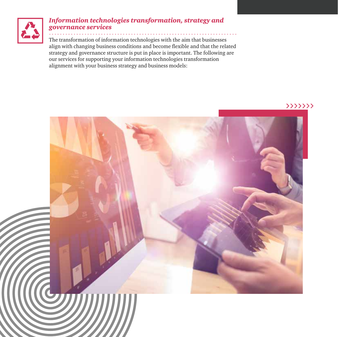

#### *Information technologies transformation, strategy and governance services*

 $\mathbf{1}$ The transformation of information technologies with the aim that businesses align with changing business conditions and become flexible and that the related strategy and governance structure is put in place is important. The following are our services for supporting your information technologies transformation alignment with your business strategy and business models:



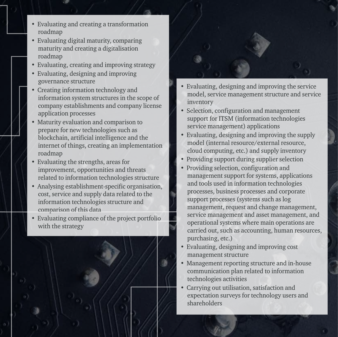- Evaluating and creating a transformation roadmap
- Evaluating digital maturity, comparing maturity and creating a digitalisation roadmap
- Evaluating, creating and improving strategy
- Evaluating, designing and improving governance structure
- Creating information technology and information system structures in the scope of company establishments and company license application processes
- Maturity evaluation and comparison to prepare for new technologies such as blockchain, artificial intelligence and the internet of things, creating an implementation roadmap
- Evaluating the strengths, areas for improvement, opportunities and threats related to information technologies structure
- Analysing establishment-specific organisation, cost, service and supply data related to the information technologies structure and comparison of this data
- Evaluating compliance of the project portfolio with the strategy





- Evaluating, designing and improving the service model, service management structure and service inventory
- Selection, configuration and management support for ITSM (information technologies service management) applications
- Evaluating, designing and improving the supply model (internal resource/external resource, cloud computing, etc.) and supply inventory
- Providing support during supplier selection
- Providing selection, configuration and management support for systems, applications and tools used in information technologies processes, business processes and corporate support processes (systems such as log management, request and change management, service management and asset management, and operational systems where main operations are carried out, such as accounting, human resources, purchasing, etc.)
- Evaluating, designing and improving cost management structure
- Management reporting structure and in-house communication plan related to information technologies activities
- Carrying out utilisation, satisfaction and expectation surveys for technology users and shareholders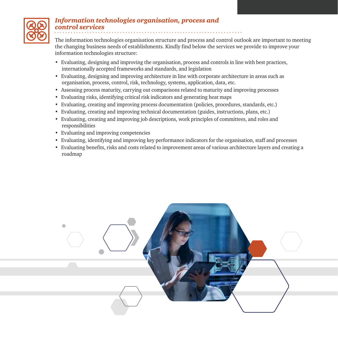

#### *Information technologies organisation, process and control services*

The information technologies organisation structure and process and control outlook are important to meeting the changing business needs of establishments. Kindly find below the services we provide to improve your information technologies structure:

- Evaluating, designing and improving the organisation, process and controls in line with best practices, internationally accepted frameworks and standards, and legislation
- Evaluating, designing and improving architecture in line with corporate architecture in areas such as organisation, process, control, risk, technology, systems, application, data, etc.
- Assessing process maturity, carrying out comparisons related to maturity and improving processes
- Evaluating risks, identifying critical risk indicators and generating heat maps
- Evaluating, creating and improving process documentation (policies, procedures, standards, etc.)
- Evaluating, creating and improving technical documentation (guides, instructions, plans, etc.)
- Evaluating, creating and improving job descriptions, work principles of committees, and roles and responsibilities
- Evaluating and improving competencies
- Evaluating, identifying and improving key performance indicators for the organisation, staff and processes
- Evaluating benefits, risks and costs related to improvement areas of various architecture layers and creating a roadmap

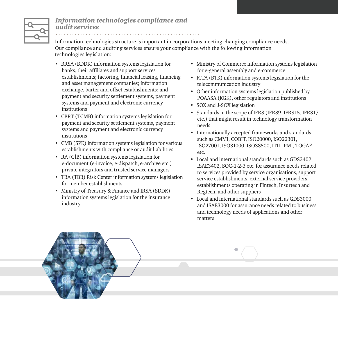

#### *Information technologies compliance and audit services*

Information technologies structure is important in corporations meeting changing compliance needs. Our compliance and auditing services ensure your compliance with the following information technologies legislation:

- BRSA (BDDK) information systems legislation for banks, their affiliates and support services establishments; factoring, financial leasing, financing and asset management companies; information exchange, barter and offset establishments; and payment and security settlement systems, payment systems and payment and electronic currency institutions
- CBRT (TCMB) information systems legislation for payment and security settlement systems, payment systems and payment and electronic currency institutions
- CMB (SPK) information systems legislation for various establishments with compliance or audit liabilities
- RA (GİB) information systems legislation for e-document (e-invoice, e-dispatch, e-archive etc.) private integrators and trusted service managers
- TBA (TBB) Risk Center information systems legislation for member establishments
- Ministry of Treasury & Finance and IRSA (SDDK) information systems legislation for the insurance industry
- Ministry of Commerce information systems legislation for e-general assembly and e-commerce
- ICTA (BTK) information systems legislation for the telecommunication industry
- Other information systems legislation published by POAASA (KGK), other regulators and institutions
- SOX and J-SOX legislation
- Standards in the scope of IFRS (IFRS9, IFRS15, IFRS17 etc.) that might result in technology transformation needs
- Internationally accepted frameworks and standards such as CMMI, COBIT, ISO20000, ISO22301, ISO27001, ISO31000, ISO38500, ITIL, PMI, TOGAF etc.
- Local and international standards such as GDS3402, ISAE3402, SOC-1-2-3 etc. for assurance needs related to services provided by service organisations, support service establishments, external service providers, establishments operating in Fintech, Insurtech and Regtech, and other suppliers
- Local and international standards such as GDS3000 and ISAE3000 for assurance needs related to business and technology needs of applications and other matters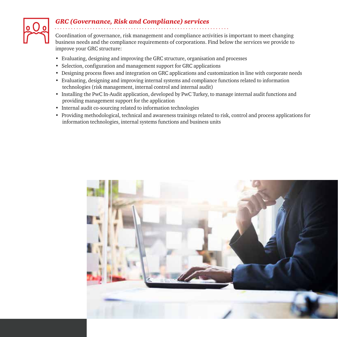

#### *GRC (Governance, Risk and Compliance) services*

Coordination of governance, risk management and compliance activities is important to meet changing business needs and the compliance requirements of corporations. Find below the services we provide to improve your GRC structure:

- Evaluating, designing and improving the GRC structure, organisation and processes
- Selection, configuration and management support for GRC applications
- Designing process flows and integration on GRC applications and customization in line with corporate needs
- Evaluating, designing and improving internal systems and compliance functions related to information technologies (risk management, internal control and internal audit)
- Installing the PwC In-Audit application, developed by PwC Turkey, to manage internal audit functions and providing management support for the application
- Internal audit co-sourcing related to information technologies
- Providing methodological, technical and awareness trainings related to risk, control and process applications for information technologies, internal systems functions and business units

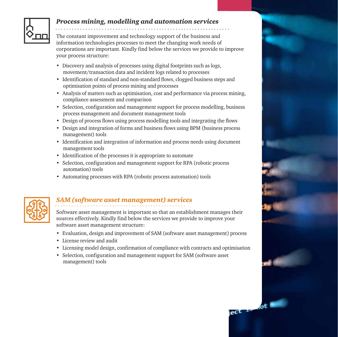

#### *Process mining, modelling and automation services*

The constant improvement and technology support of the business and information technologies processes to meet the changing work needs of corporations are important. Kindly find below the services we provide to improve your process structure:

- Discovery and analysis of processes using digital footprints such as logs, movement/transaction data and incident logs related to processes
- Identification of standard and non-standard flows, clogged business steps and optimisation points of process mining and processes
- Analysis of matters such as optimisation, cost and performance via process mining, compliance assessment and comparison
- Selection, configuration and management support for process modelling, business process management and document management tools
- Design of process flows using process modelling tools and integrating the flows
- Design and integration of forms and business flows using BPM (business process management) tools
- Identification and integration of information and process needs using document management tools
- Identification of the processes it is appropriate to automate
- Selection, configuration and management support for RPA (robotic process automation) tools
- Automating processes with RPA (robotic process automation) tools



#### *SAM (software asset management) services*

Software asset management is important so that an establishment manages their sources effectively. Kindly find below the services we provide to improve your software asset management structure:

- Evaluation, design and improvement of SAM (software asset management) process
- License review and audit
- Licensing model design, confirmation of compliance with contracts and optimisation

 $F$ <sub>not</sub>

iect

• Selection, configuration and management support for SAM (software asset management) tools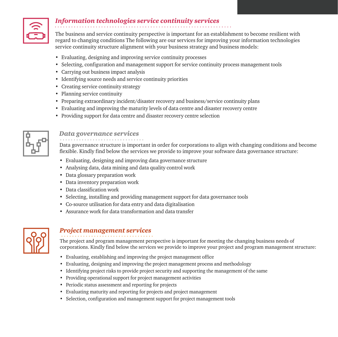#### *Information technologies service continuity services*

The business and service continuity perspective is important for an establishment to become resilient with regard to changing conditions The following are our services for improving your information technologies service continuity structure alignment with your business strategy and business models:

- Evaluating, designing and improving service continuity processes
- Selecting, configuration and management support for service continuity process management tools
- Carrying out business impact analysis
- Identifying source needs and service continuity priorities
- Creating service continuity strategy
- Planning service continuity
- Preparing extraordinary incident/disaster recovery and business/service continuity plans
- Evaluating and improving the maturity levels of data centre and disaster recovery centre
- Providing support for data centre and disaster recovery centre selection



#### *Data governance services*

Data governance structure is important in order for corporations to align with changing conditions and become flexible. Kindly find below the services we provide to improve your software data governance structure:

- Evaluating, designing and improving data governance structure
- Analysing data, data mining and data quality control work
- Data glossary preparation work
- Data inventory preparation work
- Data classification work
- Selecting, installing and providing management support for data governance tools
- Co-source utilisation for data entry and data digitalisation
- Assurance work for data transformation and data transfer



#### *Project management services*

The project and program management perspective is important for meeting the changing business needs of corporations. Kindly find below the services we provide to improve your project and program management structure:

- Evaluating, establishing and improving the project management office
- Evaluating, designing and improving the project management process and methodology
- Identifying project risks to provide project security and supporting the management of the same
- Providing operational support for project management activities
- Periodic status assessment and reporting for projects
- Evaluating maturity and reporting for projects and project management
- Selection, configuration and management support for project management tools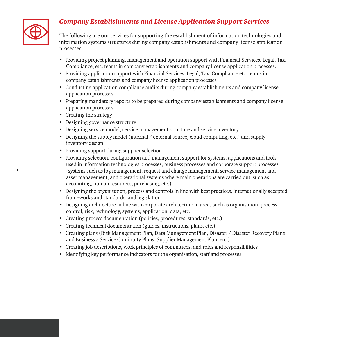•

#### *Company Establishments and License Application Support Services*

The following are our services for supporting the establishment of information technologies and information systems structures during company establishments and company license application processes:

- Providing project planning, management and operation support with Financial Services, Legal, Tax, Compliance, etc. teams in company establishments and company license application processes.
- Providing application support with Financial Services, Legal, Tax, Compliance etc. teams in company establishments and company license application processes
- Conducting application compliance audits during company establishments and company license application processes
- Preparing mandatory reports to be prepared during company establishments and company license application processes
- Creating the strategy
- Designing governance structure
- Designing service model, service management structure and service inventory
- Designing the supply model (internal / external source, cloud computing, etc.) and supply inventory design
- Providing support during supplier selection

- Providing selection, configuration and management support for systems, applications and tools used in information technologies processes, business processes and corporate support processes (systems such as log management, request and change management, service management and asset management, and operational systems where main operations are carried out, such as accounting, human resources, purchasing, etc.)
- Designing the organisation, process and controls in line with best practices, internationally accepted frameworks and standards, and legislation
- Designing architecture in line with corporate architecture in areas such as organisation, process, control, risk, technology, systems, application, data, etc.
- Creating process documentation (policies, procedures, standards, etc.)
- Creating technical documentation (guides, instructions, plans, etc.)
- Creating plans (Risk Management Plan, Data Management Plan, Disaster / Disaster Recovery Plans and Business / Service Continuity Plans, Supplier Management Plan, etc.)
- Creating job descriptions, work principles of committees, and roles and responsibilities
- Identifying key performance indicators for the organisation, staff and processes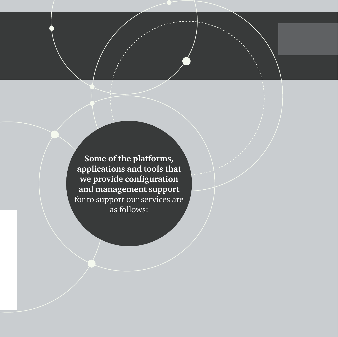**Some of the platforms, applications and tools that we provide configuration and management support** for to support our services are as follows: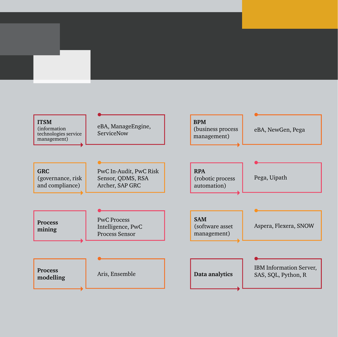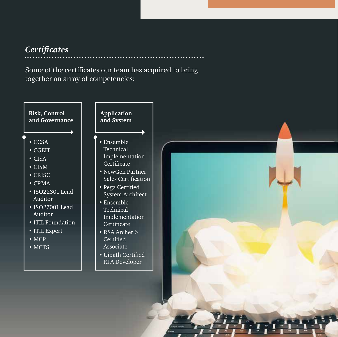### *Certificates*

Some of the certificates our team has acquired to bring together an array of competencies:

RPA Developer



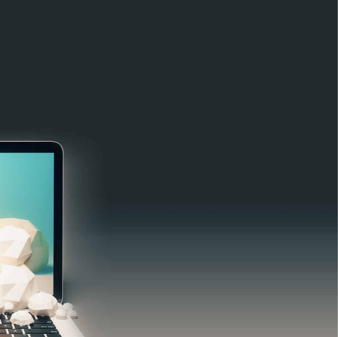